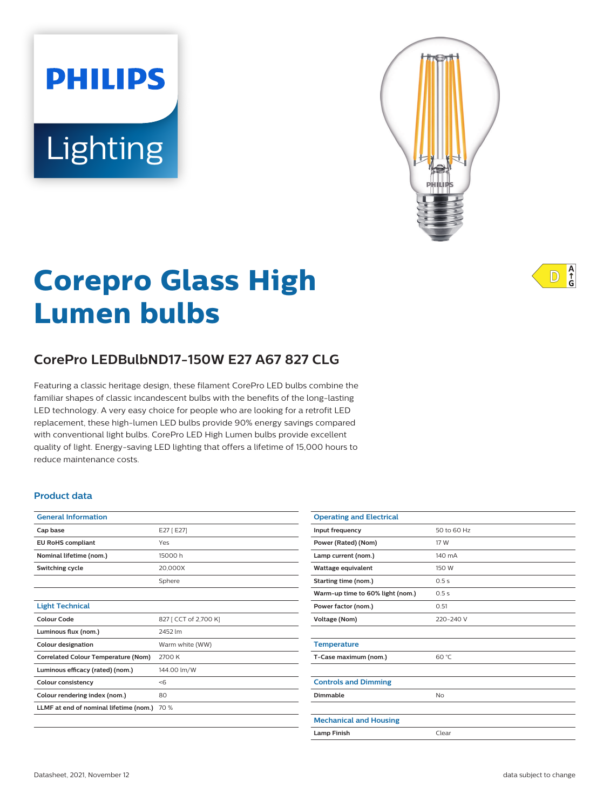# **PHILIPS** Lighting



# **Corepro Glass High Lumen bulbs**

# **CorePro LEDBulbND17-150W E27 A67 827 CLG**

Featuring a classic heritage design, these filament CorePro LED bulbs combine the familiar shapes of classic incandescent bulbs with the benefits of the long-lasting LED technology. A very easy choice for people who are looking for a retrofit LED replacement, these high-lumen LED bulbs provide 90% energy savings compared with conventional light bulbs. CorePro LED High Lumen bulbs provide excellent quality of light. Energy-saving LED lighting that offers a lifetime of 15,000 hours to reduce maintenance costs.

### **Product data**

| <b>General Information</b>                 |                       |
|--------------------------------------------|-----------------------|
| Cap base                                   | E27 [E27]             |
| <b>EU RoHS compliant</b>                   | Yes                   |
| Nominal lifetime (nom.)                    | 15000 h               |
| Switching cycle                            | 20,000X               |
|                                            | Sphere                |
|                                            |                       |
| <b>Light Technical</b>                     |                       |
| Colour Code                                | 827 [ CCT of 2,700 K] |
| Luminous flux (nom.)                       | 2452 lm               |
| <b>Colour designation</b>                  | Warm white (WW)       |
| <b>Correlated Colour Temperature (Nom)</b> | 2700 K                |
| Luminous efficacy (rated) (nom.)           | 144.00 lm/W           |
| <b>Colour consistency</b>                  | < 6                   |
| Colour rendering index (nom.)              | 80                    |
| LLMF at end of nominal lifetime (nom.)     | 70 %                  |
|                                            |                       |

| <b>Operating and Electrical</b>  |             |
|----------------------------------|-------------|
| Input frequency                  | 50 to 60 Hz |
| Power (Rated) (Nom)              | 17 W        |
| Lamp current (nom.)              | 140 mA      |
| Wattage equivalent               | 150 W       |
| Starting time (nom.)             | 0.5s        |
| Warm-up time to 60% light (nom.) | 0.5s        |
| Power factor (nom.)              | 0.51        |
| Voltage (Nom)                    | 220-240 V   |
|                                  |             |
| <b>Temperature</b>               |             |
| T-Case maximum (nom.)            | 60 °C       |
|                                  |             |
| <b>Controls and Dimming</b>      |             |
| Dimmable                         | <b>No</b>   |
|                                  |             |
| <b>Mechanical and Housing</b>    |             |
| <b>Lamp Finish</b>               | Clear       |

 $A$ <sub>G</sub>  $\mathbb{D}$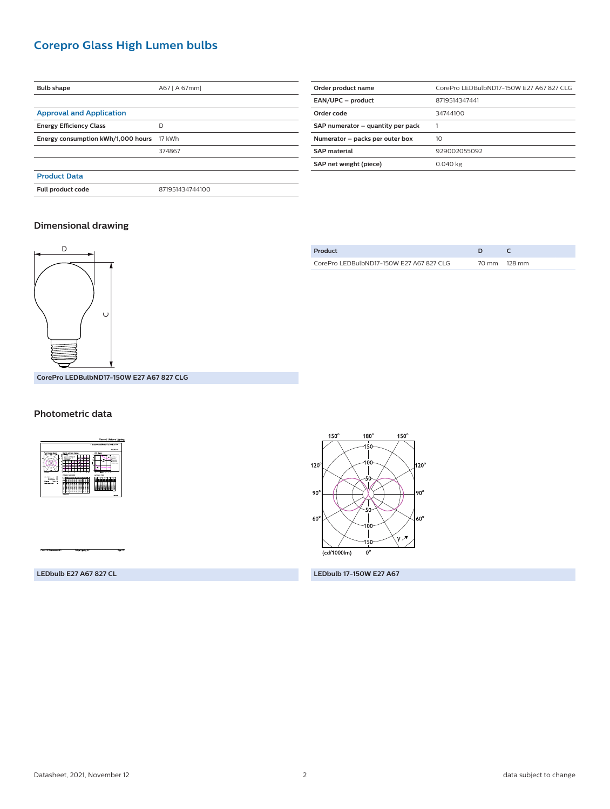# **Corepro Glass High Lumen bulbs**

| <b>Bulb shape</b>                  | A67 [ A 67mm]   |  |
|------------------------------------|-----------------|--|
|                                    |                 |  |
| <b>Approval and Application</b>    |                 |  |
| <b>Energy Efficiency Class</b>     | D               |  |
| Energy consumption kWh/1,000 hours | 17 kWh          |  |
|                                    | 374867          |  |
|                                    |                 |  |
| <b>Product Data</b>                |                 |  |
| Full product code                  | 871951434744100 |  |
|                                    |                 |  |

| Order product name                | CorePro LEDBulbND17-150W E27 A67 827 CLG |  |
|-----------------------------------|------------------------------------------|--|
| EAN/UPC - product                 | 8719514347441                            |  |
| Order code                        | 34744100                                 |  |
| SAP numerator - quantity per pack |                                          |  |
| Numerator - packs per outer box   | 10                                       |  |
| <b>SAP</b> material               | 929002055092                             |  |
| SAP net weight (piece)            | 0.040 kg                                 |  |
|                                   |                                          |  |

## **Dimensional drawing**



| Product                                  |              |
|------------------------------------------|--------------|
| CorePro LEDBulbND17-150W E27 A67 827 CLG | 70 mm 128 mm |

**CorePro LEDBulbND17-150W E27 A67 827 CLG**

#### **Photometric data**



 $150^\circ$  $150^\circ$  $180^\circ$ -150 100  $20^\circ$  $120^\circ$ -sc xIz  $90^\circ$ 90  $60^\circ$ 60 .<br>ү. А ١Ś١  $\overline{(cd/1000\text{lm})}$  $\overline{0^{\circ}}$ 

**LEDbulb E27 A67 827 CL LEDbulb 17-150W E27 A67**